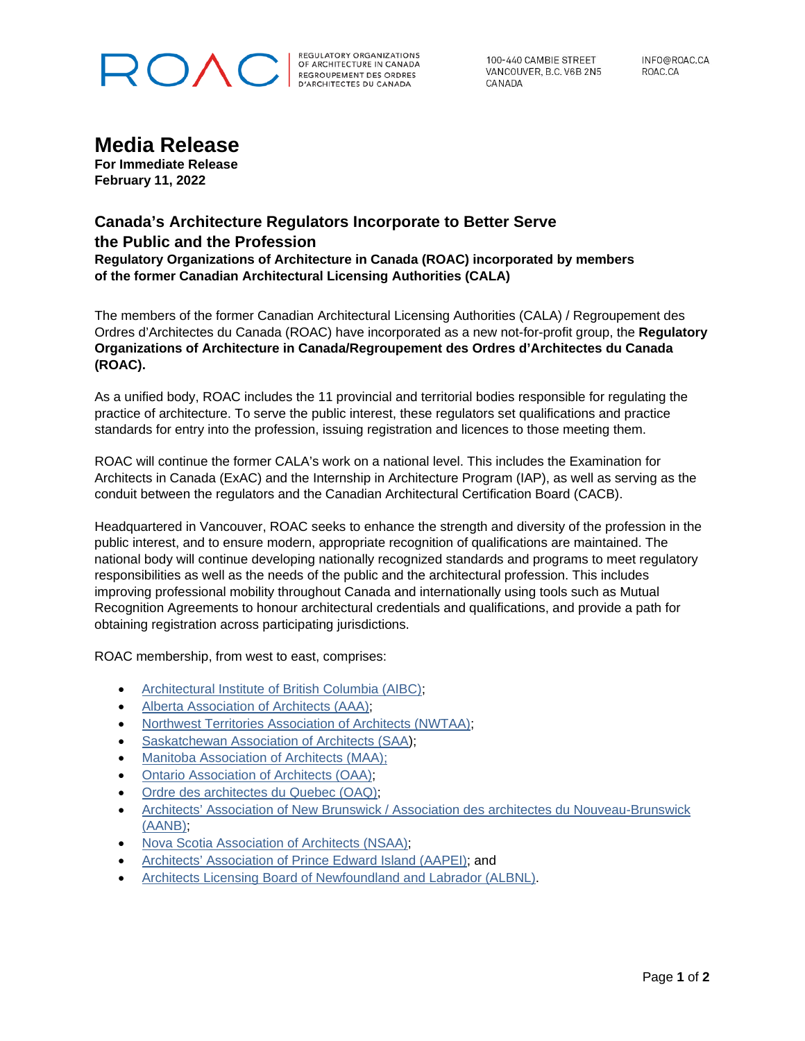# ROVC

REGULATORY ORGANIZATIONS<br>OF ARCHITECTURE IN CANADA<br>REGROUPEMENT DES ORDRES<br>D'ARCHITECTES DU CANADA

100-440 CAMBIE STREET VANCOUVER, B.C. V6B 2N5 CANADA

INFO@ROAC.CA ROAC.CA

### **Media Release**

**For Immediate Release February 11, 2022**

### **Canada's Architecture Regulators Incorporate to Better Serve the Public and the Profession**

**Regulatory Organizations of Architecture in Canada (ROAC) incorporated by members of the former Canadian Architectural Licensing Authorities (CALA)**

The members of the former Canadian Architectural Licensing Authorities (CALA) / Regroupement des Ordres d'Architectes du Canada (ROAC) have incorporated as a new not-for-profit group, the **Regulatory Organizations of Architecture in Canada/Regroupement des Ordres d'Architectes du Canada (ROAC).**

As a unified body, ROAC includes the 11 provincial and territorial bodies responsible for regulating the practice of architecture. To serve the public interest, these regulators set qualifications and practice standards for entry into the profession, issuing registration and licences to those meeting them.

ROAC will continue the former CALA's work on a national level. This includes the Examination for Architects in Canada (ExAC) and the Internship in Architecture Program (IAP), as well as serving as the conduit between the regulators and the Canadian Architectural Certification Board (CACB).

Headquartered in Vancouver, ROAC seeks to enhance the strength and diversity of the profession in the public interest, and to ensure modern, appropriate recognition of qualifications are maintained. The national body will continue developing nationally recognized standards and programs to meet regulatory responsibilities as well as the needs of the public and the architectural profession. This includes improving professional mobility throughout Canada and internationally using tools such as Mutual Recognition Agreements to honour architectural credentials and qualifications, and provide a path for obtaining registration across participating jurisdictions.

ROAC membership, from west to east, comprises:

- [Architectural Institute of British Columbia \(AIBC\);](https://aibc.ca/)
- [Alberta Association of Architects \(AAA\);](https://www.aaa.ab.ca/)
- [Northwest Territories Association of Architects \(NWTAA\);](https://www.nwtaa.ca/)
- [Saskatchewan Association of Architects \(SAA\)](https://saskarchitects.com/);
- [Manitoba Association of Architects \(MAA\);](https://www.mbarchitects.org/)
- [Ontario Association of Architects \(OAA\);](https://oaa.on.ca/)
- [Ordre des architectes du Quebec \(OAQ\);](https://www.oaq.com/)
- Architects' Association of New Brunswick / Association des architectes du Nouveau-Brunswick [\(AANB\);](https://www.aanb.org/)
- [Nova Scotia Association of Architects \(NSAA\);](https://nsaa.ns.ca/)
- [Architects' Association of Prince Edward Island \(AAPEI\);](https://aapei.com/) and
- [Architects Licensing Board of Newfoundland and Labrador \(ALBNL\).](https://www.albnl.com/documents/)